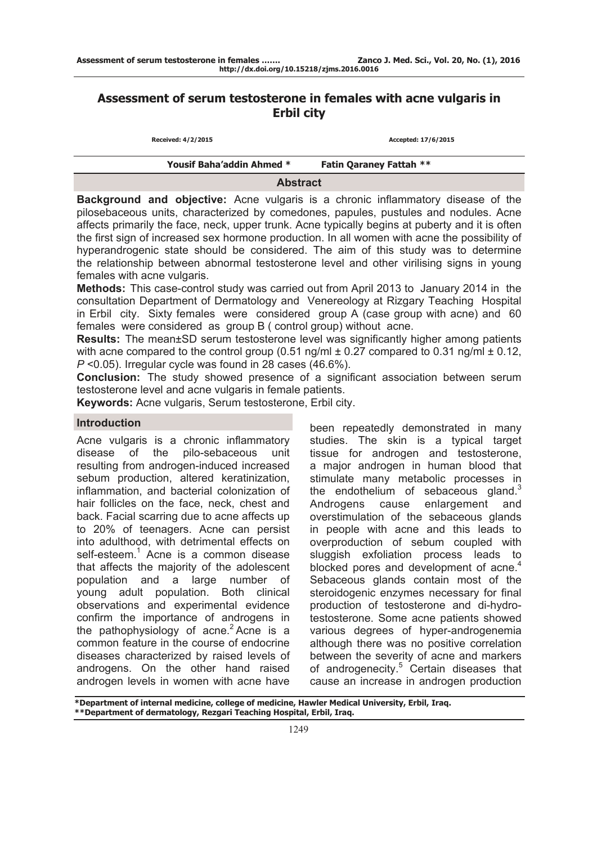# **Assessment of serum testosterone in females with acne vulgaris in Erbil city**

| Received: 4/2/2015        | Accepted: 17/6/2015            |  |  |  |
|---------------------------|--------------------------------|--|--|--|
| Yousif Baha'addin Ahmed * | <b>Fatin Qaraney Fattah **</b> |  |  |  |
| <b>Abstract</b>           |                                |  |  |  |

**Background and objective:** Acne vulgaris is a chronic inflammatory disease of the pilosebaceous units, characterized by comedones, papules, pustules and nodules. Acne affects primarily the face, neck, upper trunk. Acne typically begins at puberty and it is often the first sign of increased sex hormone production. In all women with acne the possibility of hyperandrogenic state should be considered. The aim of this study was to determine the relationship between abnormal testosterone level and other virilising signs in young females with acne vulgaris.

**Methods:** This case-control study was carried out from April 2013 to January 2014 in the consultation Department of Dermatology and Venereology at Rizgary Teaching Hospital in Erbil city. Sixty females were considered group A (case group with acne) and 60 females were considered as group B ( control group) without acne.

**Results:** The mean±SD serum testosterone level was significantly higher among patients with acne compared to the control group  $(0.51 \text{ ng/ml} \pm 0.27 \text{ compared to } 0.31 \text{ ng/ml} \pm 0.12)$ , *P* ˂0.05). Irregular cycle was found in 28 cases (46.6%).

**Conclusion:** The study showed presence of a significant association between serum testosterone level and acne vulgaris in female patients.

**Keywords:** Acne vulgaris, Serum testosterone, Erbil city.

#### **Introduction**

Acne vulgaris is a chronic inflammatory disease of the pilo-sebaceous unit resulting from androgen-induced increased sebum production, altered keratinization, inflammation, and bacterial colonization of hair follicles on the face, neck, chest and back. Facial scarring due to acne affects up to 20% of teenagers. Acne can persist into adulthood, with detrimental effects on self-esteem.<sup>1</sup> Acne is a common disease that affects the majority of the adolescent population and a large number of young adult population. Both clinical observations and experimental evidence confirm the importance of androgens in the pathophysiology of  $a$ cne.<sup>2</sup> Acne is a common feature in the course of endocrine diseases characterized by raised levels of androgens. On the other hand raised androgen levels in women with acne have

been repeatedly demonstrated in many studies. The skin is a typical target tissue for androgen and testosterone, a major androgen in human blood that stimulate many metabolic processes in the endothelium of sebaceous gland. $3$ Androgens cause enlargement and overstimulation of the sebaceous glands in people with acne and this leads to overproduction of sebum coupled with sluggish exfoliation process leads to blocked pores and development of acne.<sup>4</sup> Sebaceous glands contain most of the steroidogenic enzymes necessary for final production of testosterone and di-hydrotestosterone. Some acne patients showed various degrees of hyper-androgenemia although there was no positive correlation between the severity of acne and markers of androgenecity.<sup>5</sup> Certain diseases that cause an increase in androgen production

**\*Department of internal medicine, college of medicine, Hawler Medical University, Erbil, Iraq. \*\*Department of dermatology, Rezgari Teaching Hospital, Erbil, Iraq.**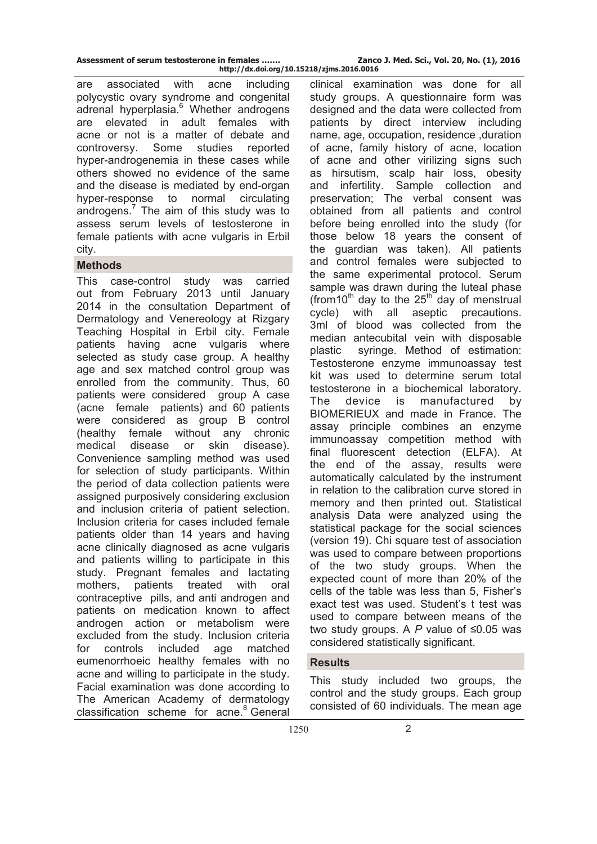are associated with acne including polycystic ovary syndrome and congenital adrenal hyperplasia.<sup>6</sup> Whether androgens are elevated in adult females with acne or not is a matter of debate and controversy. Some studies reported hyper-androgenemia in these cases while others showed no evidence of the same and the disease is mediated by end-organ hyper-response to normal circulating androgens.<sup>7</sup> The aim of this study was to assess serum levels of testosterone in female patients with acne vulgaris in Erbil city.

## **Methods**

This case-control study was carried out from February 2013 until January 2014 in the consultation Department of Dermatology and Venereology at Rizgary Teaching Hospital in Erbil city. Female patients having acne vulgaris where selected as study case group. A healthy age and sex matched control group was enrolled from the community. Thus, 60 patients were considered group A case (acne female patients) and 60 patients were considered as group B control (healthy female without any chronic medical disease or skin disease). Convenience sampling method was used for selection of study participants. Within the period of data collection patients were assigned purposively considering exclusion and inclusion criteria of patient selection. Inclusion criteria for cases included female patients older than 14 years and having acne clinically diagnosed as acne vulgaris and patients willing to participate in this study. Pregnant females and lactating mothers, patients treated with oral contraceptive pills, and anti androgen and patients on medication known to affect androgen action or metabolism were excluded from the study. Inclusion criteria for controls included age matched eumenorrhoeic healthy females with no acne and willing to participate in the study. Facial examination was done according to The American Academy of dermatology classification scheme for acne. $8$  General

clinical examination was done for all study groups. A questionnaire form was designed and the data were collected from patients by direct interview including name, age, occupation, residence ,duration of acne, family history of acne, location of acne and other virilizing signs such as hirsutism, scalp hair loss, obesity and infertility. Sample collection and preservation; The verbal consent was obtained from all patients and control before being enrolled into the study (for those below 18 years the consent of the guardian was taken). All patients and control females were subjected to the same experimental protocol. Serum sample was drawn during the luteal phase (from 10<sup>th</sup> day to the 25<sup>th</sup> day of menstrual cycle) with all aseptic precautions. 3ml of blood was collected from the median antecubital vein with disposable plastic syringe. Method of estimation: Testosterone enzyme immunoassay test kit was used to determine serum total testosterone in a biochemical laboratory. The device is manufactured by BIOMERIEUX and made in France. The assay principle combines an enzyme immunoassay competition method with final fluorescent detection (ELFA). At the end of the assay, results were automatically calculated by the instrument in relation to the calibration curve stored in memory and then printed out. Statistical analysis Data were analyzed using the statistical package for the social sciences (version 19). Chi square test of association was used to compare between proportions of the two study groups. When the expected count of more than 20% of the cells of the table was less than 5, Fisher's exact test was used. Student's t test was used to compare between means of the two study groups. A *P* value of ≤0.05 was considered statistically significant.

# **Results**

This study included two groups, the control and the study groups. Each group consisted of 60 individuals. The mean age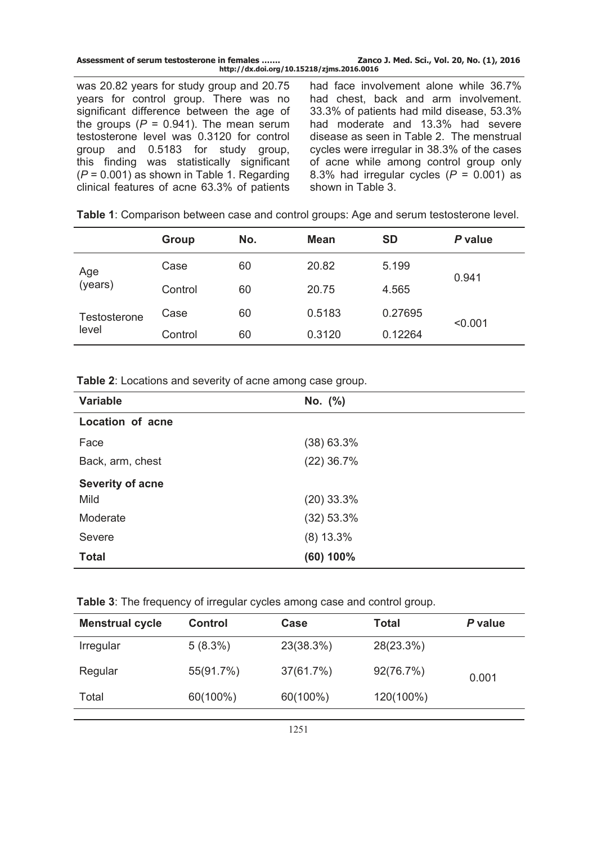| Assessment of serum testosterone in females<br>http://dx.doi.org/10.15218/zjms.2016.0016 | Zanco J. Med. Sci., Vol. 20, No. (1), 2016   |
|------------------------------------------------------------------------------------------|----------------------------------------------|
| was 20.82 years for study group and 20.75                                                | had face involvement alone while 36.7%       |
| years for control group. There was no                                                    | had chest, back and arm involvement.         |
| significant difference between the age of                                                | 33.3% of patients had mild disease, 53.3%    |
| the groups ( $P = 0.941$ ). The mean serum                                               | had moderate and 13.3% had severe            |
| testosterone level was 0.3120 for control                                                | disease as seen in Table 2. The menstrual    |
| group and 0.5183 for study group,                                                        | cycles were irregular in 38.3% of the cases  |
| this finding was statistically significant                                               | of acne while among control group only       |
| $(P = 0.001)$ as shown in Table 1. Regarding                                             | 8.3% had irregular cycles ( $P = 0.001$ ) as |

|                       | <b>Group</b> | No. | <b>Mean</b> | <b>SD</b> | P value |
|-----------------------|--------------|-----|-------------|-----------|---------|
| Age<br>(years)        | Case         | 60  | 20.82       | 5.199     | 0.941   |
|                       | Control      | 60  | 20.75       | 4.565     |         |
| Testosterone<br>level | Case         | 60  | 0.5183      | 0.27695   | < 0.001 |
|                       | Control      | 60  | 0.3120      | 0.12264   |         |

**Table 1**: Comparison between case and control groups: Age and serum testosterone level.

shown in Table 3.

**Table 2**: Locations and severity of acne among case group.

clinical features of acne 63.3% of patients

| <b>Variable</b>         | No. (%)      |
|-------------------------|--------------|
| Location of acne        |              |
| Face                    | $(38)$ 63.3% |
| Back, arm, chest        | $(22)$ 36.7% |
| <b>Severity of acne</b> |              |
| Mild                    | $(20)$ 33.3% |
| Moderate                | $(32)$ 53.3% |
| Severe                  | $(8)$ 13.3%  |
| <b>Total</b>            | (60) 100%    |

|  |  | Table 3: The frequency of irregular cycles among case and control group. |
|--|--|--------------------------------------------------------------------------|
|  |  |                                                                          |

| <b>Menstrual cycle</b> | <b>Control</b> | Case      | <b>Total</b> | P value |
|------------------------|----------------|-----------|--------------|---------|
| Irregular              | $5(8.3\%)$     | 23(38.3%) | 28(23.3%)    |         |
| Regular                | 55(91.7%)      | 37(61.7%) | 92(76.7%)    | 0.001   |
| Total                  | 60(100%)       | 60(100%)  | 120(100%)    |         |
|                        |                |           |              |         |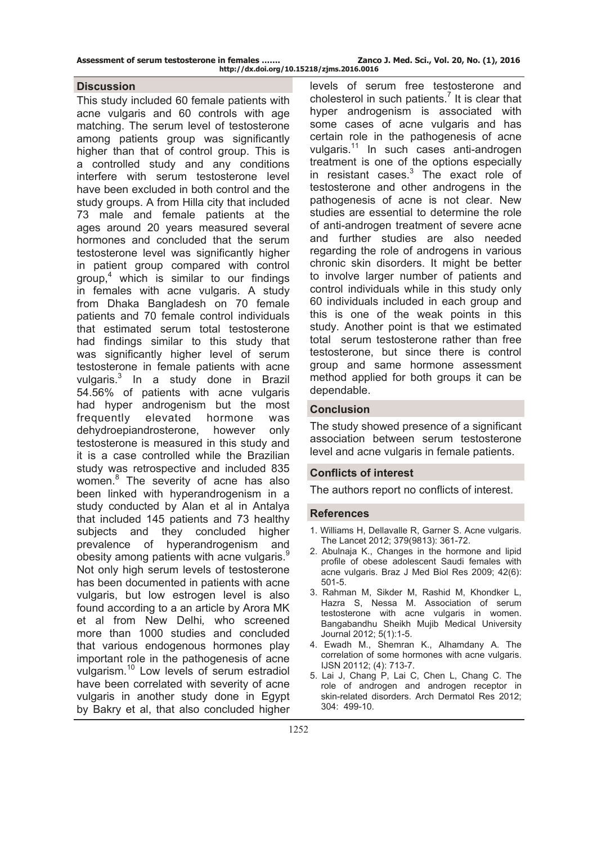#### **Discussion**

This study included 60 female patients with acne vulgaris and 60 controls with age matching. The serum level of testosterone among patients group was significantly higher than that of control group. This is a controlled study and any conditions interfere with serum testosterone level have been excluded in both control and the study groups. A from Hilla city that included 73 male and female patients at the ages around 20 years measured several hormones and concluded that the serum testosterone level was significantly higher in patient group compared with control group,<sup>4</sup> which is similar to our findings in females with acne vulgaris. A study from Dhaka Bangladesh on 70 female patients and 70 female control individuals that estimated serum total testosterone had findings similar to this study that was significantly higher level of serum testosterone in female patients with acne vulgaris.<sup>3</sup> In a study done in Brazil 54.56% of patients with acne vulgaris had hyper androgenism but the most frequently elevated hormone was dehydroepiandrosterone, however only testosterone is measured in this study and it is a case controlled while the Brazilian study was retrospective and included 835 women.<sup>8</sup> The severity of acne has also been linked with hyperandrogenism in a study conducted by Alan et al in Antalya that included 145 patients and 73 healthy subjects and they concluded higher prevalence of hyperandrogenism and obesity among patients with acne vulgaris.<sup>9</sup> Not only high serum levels of testosterone has been documented in patients with acne vulgaris, but low estrogen level is also found according to a an article by Arora MK et al from New Delhi*,* who screened more than 1000 studies and concluded that various endogenous hormones play important role in the pathogenesis of acne vulgarism.10 Low levels of serum estradiol have been correlated with severity of acne vulgaris in another study done in Egypt by Bakry et al, that also concluded higher

levels of serum free testosterone and cholesterol in such patients.<sup>7</sup> It is clear that hyper androgenism is associated with some cases of acne vulgaris and has certain role in the pathogenesis of acne vulgaris.<sup>11</sup> In such cases anti-androgen treatment is one of the options especially in resistant cases.3 The exact role of testosterone and other androgens in the pathogenesis of acne is not clear. New studies are essential to determine the role of anti-androgen treatment of severe acne and further studies are also needed regarding the role of androgens in various chronic skin disorders. It might be better to involve larger number of patients and control individuals while in this study only 60 individuals included in each group and this is one of the weak points in this study. Another point is that we estimated total serum testosterone rather than free testosterone, but since there is control group and same hormone assessment method applied for both groups it can be dependable.

## **Conclusion**

The study showed presence of a significant association between serum testosterone level and acne vulgaris in female patients.

## **Conflicts of interest**

The authors report no conflicts of interest.

#### **References**

- 1. Williams H, Dellavalle R, Garner S. Acne vulgaris. The Lancet 2012; 379(9813): 361-72.
- 2. Abulnaja K., Changes in the hormone and lipid profile of obese adolescent Saudi females with acne vulgaris. Braz J Med Biol Res 2009; 42(6): 501-5.
- 3. Rahman M, Sikder M, Rashid M, Khondker L, Hazra S, Nessa M. Association of serum testosterone with acne vulgaris in women. Bangabandhu Sheikh Mujib Medical University Journal 2012; 5(1):1-5.
- 4. Ewadh M., Shemran K., Alhamdany A. The correlation of some hormones with acne vulgaris. IJSN 20112; (4): 713-7.
- 5. Lai J, Chang P, Lai C, Chen L, Chang C. The role of androgen and androgen receptor in skin-related disorders. Arch Dermatol Res 2012; 304: 499-10.